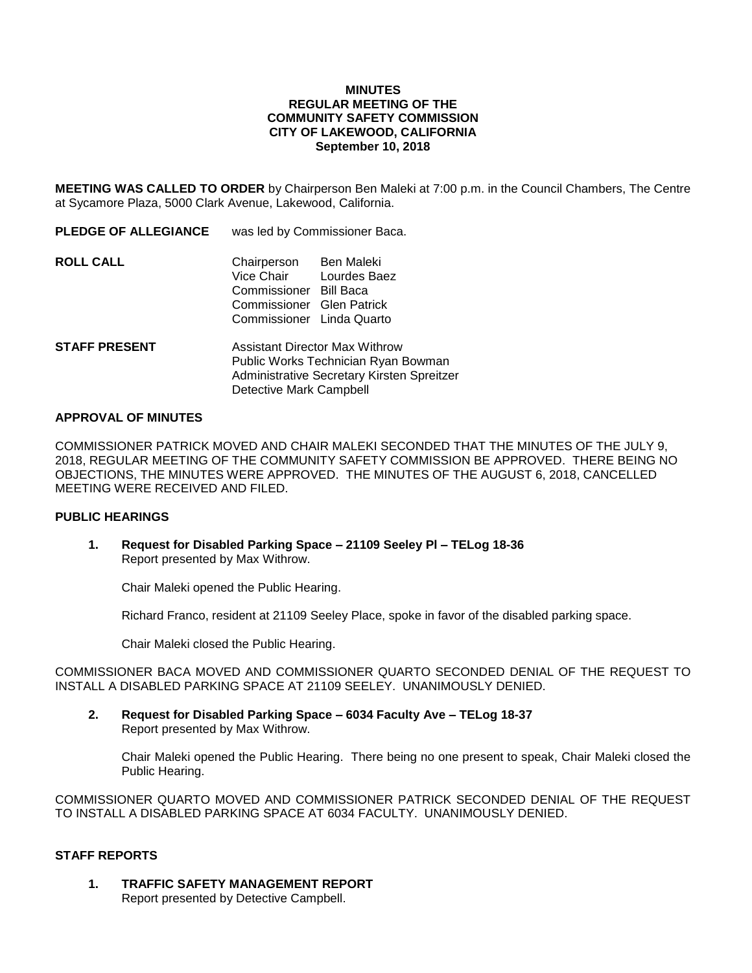### **MINUTES REGULAR MEETING OF THE COMMUNITY SAFETY COMMISSION CITY OF LAKEWOOD, CALIFORNIA September 10, 2018**

**MEETING WAS CALLED TO ORDER** by Chairperson Ben Maleki at 7:00 p.m. in the Council Chambers, The Centre at Sycamore Plaza, 5000 Clark Avenue, Lakewood, California.

| <b>PLEDGE OF ALLEGIANCE</b> | was led by Commissioner Baca.                                                                                              |                                   |
|-----------------------------|----------------------------------------------------------------------------------------------------------------------------|-----------------------------------|
| ROLL CALL                   | Chairperson<br>Vice Chair<br>Commissioner Bill Baca<br>Commissioner Glen Patrick<br>Commissioner Linda Quarto              | <b>Ben Maleki</b><br>Lourdes Baez |
| <b>STAFF PRESENT</b>        | <b>Assistant Director Max Withrow</b><br>Public Works Technician Ryan Bowman<br>Administrative Secretary Kirsten Spreitzer |                                   |

Detective Mark Campbell

#### **APPROVAL OF MINUTES**

COMMISSIONER PATRICK MOVED AND CHAIR MALEKI SECONDED THAT THE MINUTES OF THE JULY 9, 2018, REGULAR MEETING OF THE COMMUNITY SAFETY COMMISSION BE APPROVED. THERE BEING NO OBJECTIONS, THE MINUTES WERE APPROVED. THE MINUTES OF THE AUGUST 6, 2018, CANCELLED MEETING WERE RECEIVED AND FILED.

### **PUBLIC HEARINGS**

**1. Request for Disabled Parking Space – 21109 Seeley Pl – TELog 18-36** Report presented by Max Withrow.

Chair Maleki opened the Public Hearing.

Richard Franco, resident at 21109 Seeley Place, spoke in favor of the disabled parking space.

Chair Maleki closed the Public Hearing.

COMMISSIONER BACA MOVED AND COMMISSIONER QUARTO SECONDED DENIAL OF THE REQUEST TO INSTALL A DISABLED PARKING SPACE AT 21109 SEELEY. UNANIMOUSLY DENIED.

**2. Request for Disabled Parking Space – 6034 Faculty Ave – TELog 18-37** Report presented by Max Withrow.

Chair Maleki opened the Public Hearing. There being no one present to speak, Chair Maleki closed the Public Hearing.

COMMISSIONER QUARTO MOVED AND COMMISSIONER PATRICK SECONDED DENIAL OF THE REQUEST TO INSTALL A DISABLED PARKING SPACE AT 6034 FACULTY. UNANIMOUSLY DENIED.

## **STAFF REPORTS**

**1. TRAFFIC SAFETY MANAGEMENT REPORT** Report presented by Detective Campbell.